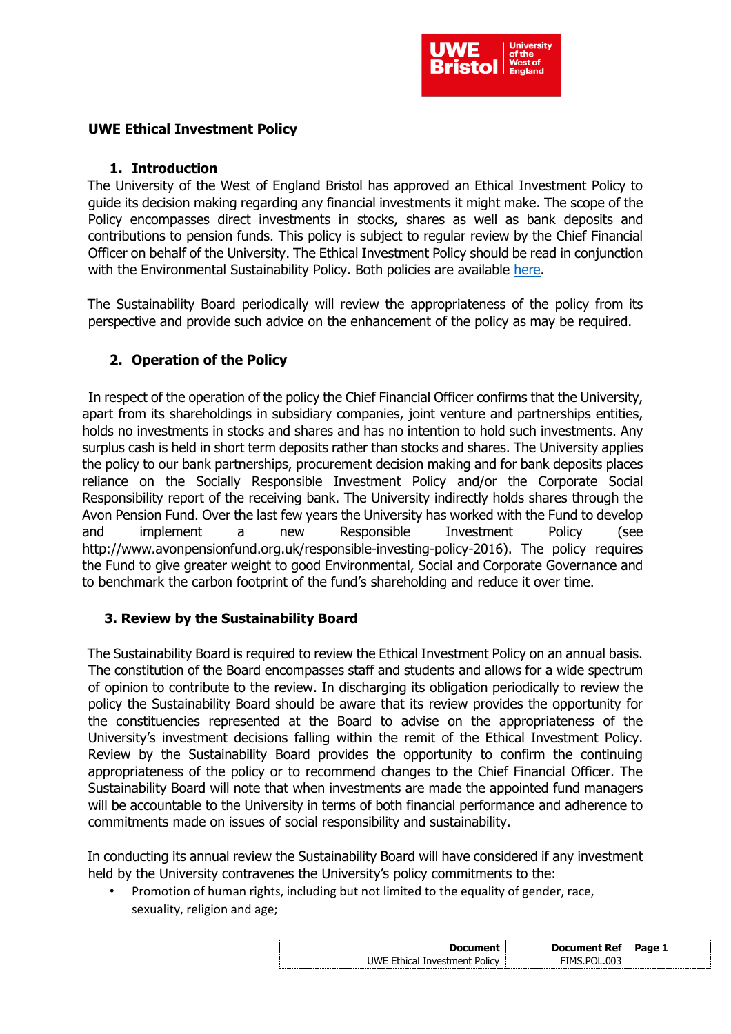

## **UWE Ethical Investment Policy**

### **1. Introduction**

The University of the West of England Bristol has approved an Ethical Investment Policy to guide its decision making regarding any financial investments it might make. The scope of the Policy encompasses direct investments in stocks, shares as well as bank deposits and contributions to pension funds. This policy is subject to regular review by the Chief Financial Officer on behalf of the University. The Ethical Investment Policy should be read in conjunction with the Environmental Sustainability Policy. Both policies are available [here.](http://www1.uwe.ac.uk/about/corporateinformation/sustainability/policiesplansandtargets.aspx)

The Sustainability Board periodically will review the appropriateness of the policy from its perspective and provide such advice on the enhancement of the policy as may be required.

# **2. Operation of the Policy**

In respect of the operation of the policy the Chief Financial Officer confirms that the University, apart from its shareholdings in subsidiary companies, joint venture and partnerships entities, holds no investments in stocks and shares and has no intention to hold such investments. Any surplus cash is held in short term deposits rather than stocks and shares. The University applies the policy to our bank partnerships, procurement decision making and for bank deposits places reliance on the Socially Responsible Investment Policy and/or the Corporate Social Responsibility report of the receiving bank. The University indirectly holds shares through the Avon Pension Fund. Over the last few years the University has worked with the Fund to develop and implement a new Responsible Investment Policy (se[e](http://www.avonpensionfund.org.uk/responsible-investing-policy-2016)) [http://www.avonpensionfund.org.uk/responsible-investing-policy-2016\).](http://www.avonpensionfund.org.uk/responsible-investing-policy-2016)) The policy requires the Fund to give greater weight to good Environmental, Social and Corporate Governance and to benchmark the carbon footprint of the fund's shareholding and reduce it over time.

## **3. Review by the Sustainability Board**

The Sustainability Board is required to review the Ethical Investment Policy on an annual basis. The constitution of the Board encompasses staff and students and allows for a wide spectrum of opinion to contribute to the review. In discharging its obligation periodically to review the policy the Sustainability Board should be aware that its review provides the opportunity for the constituencies represented at the Board to advise on the appropriateness of the University's investment decisions falling within the remit of the Ethical Investment Policy. Review by the Sustainability Board provides the opportunity to confirm the continuing appropriateness of the policy or to recommend changes to the Chief Financial Officer. The Sustainability Board will note that when investments are made the appointed fund managers will be accountable to the University in terms of both financial performance and adherence to commitments made on issues of social responsibility and sustainability.

In conducting its annual review the Sustainability Board will have considered if any investment held by the University contravenes the University's policy commitments to the:

• Promotion of human rights, including but not limited to the equality of gender, race, sexuality, religion and age;

| Document                      | <b>Document Ref</b> | Page 1 |
|-------------------------------|---------------------|--------|
| UWE Ethical Investment Policy | FIMS POL 003        |        |